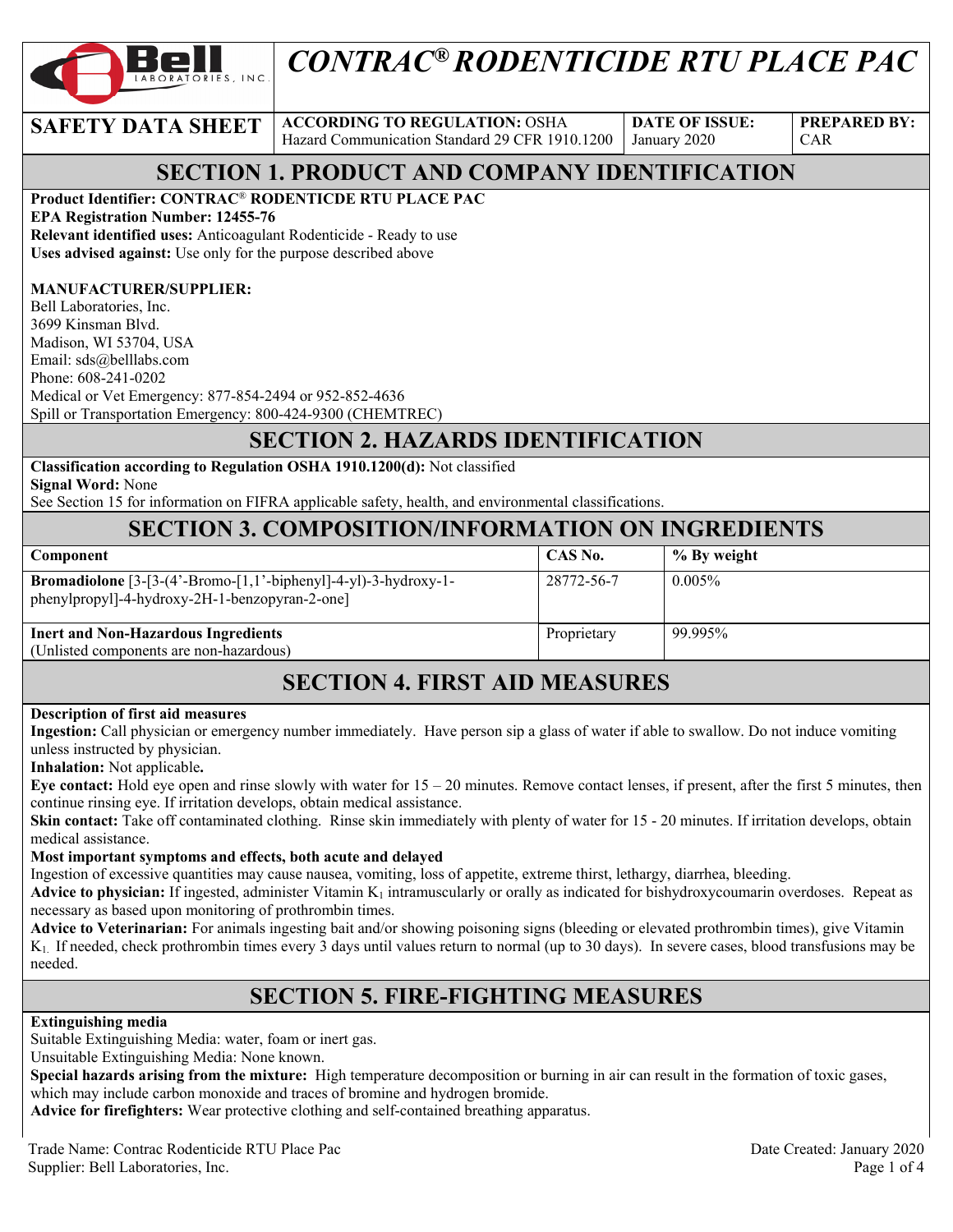

# *CONTRAC® RODENTICIDE RTU PLACE PAC*

# **SAFETY DATA SHEET ACCORDING TO REGULATION: OSHA**

Hazard Communication Standard 29 CFR 1910.1200

**DATE OF ISSUE:**  January 2020

**PREPARED BY:**  CAR

### **SECTION 1. PRODUCT AND COMPANY IDENTIFICATION**

**Product Identifier: CONTRAC**® **RODENTICDE RTU PLACE PAC** 

**EPA Registration Number: 12455-76** 

**Relevant identified uses:** Anticoagulant Rodenticide - Ready to use **Uses advised against:** Use only for the purpose described above

#### **MANUFACTURER/SUPPLIER:**

Bell Laboratories, Inc. 3699 Kinsman Blvd. Madison, WI 53704, USA Email: sds@belllabs.com Phone: 608-241-0202 Medical or Vet Emergency: 877-854-2494 or 952-852-4636 Spill or Transportation Emergency: 800-424-9300 (CHEMTREC)

# **SECTION 2. HAZARDS IDENTIFICATION**

**Classification according to Regulation OSHA 1910.1200(d):** Not classified

**Signal Word:** None

See Section 15 for information on FIFRA applicable safety, health, and environmental classifications.

#### **SECTION 3. COMPOSITION/INFORMATION ON INGREDIENTS**

| Component                                                                                                                  | CAS No.     | % By weight |
|----------------------------------------------------------------------------------------------------------------------------|-------------|-------------|
| <b>Bromadiolone</b> $[3-[3-(4'-Bromo-[1,1'-bipheny1]-4-yl)-3-hydroxy-1-$<br>phenylpropyl]-4-hydroxy-2H-1-benzopyran-2-one] | 28772-56-7  | $0.005\%$   |
| <b>Inert and Non-Hazardous Ingredients</b><br>(Unlisted components are non-hazardous)                                      | Proprietary | 99.995%     |

### **SECTION 4. FIRST AID MEASURES**

#### **Description of first aid measures**

**Ingestion:** Call physician or emergency number immediately. Have person sip a glass of water if able to swallow. Do not induce vomiting unless instructed by physician.

**Inhalation:** Not applicable**.** 

**Eye contact:** Hold eye open and rinse slowly with water for 15 – 20 minutes. Remove contact lenses, if present, after the first 5 minutes, then continue rinsing eye. If irritation develops, obtain medical assistance.

**Skin contact:** Take off contaminated clothing. Rinse skin immediately with plenty of water for 15 - 20 minutes. If irritation develops, obtain medical assistance.

#### **Most important symptoms and effects, both acute and delayed**

Ingestion of excessive quantities may cause nausea, vomiting, loss of appetite, extreme thirst, lethargy, diarrhea, bleeding.

**Advice to physician:** If ingested, administer Vitamin  $K_1$  intramuscularly or orally as indicated for bishydroxycoumarin overdoses. Repeat as necessary as based upon monitoring of prothrombin times.

**Advice to Veterinarian:** For animals ingesting bait and/or showing poisoning signs (bleeding or elevated prothrombin times), give Vitamin K1. If needed, check prothrombin times every 3 days until values return to normal (up to 30 days). In severe cases, blood transfusions may be needed.

### **SECTION 5. FIRE-FIGHTING MEASURES**

#### **Extinguishing media**

Suitable Extinguishing Media: water, foam or inert gas.

Unsuitable Extinguishing Media: None known.

**Special hazards arising from the mixture:** High temperature decomposition or burning in air can result in the formation of toxic gases, which may include carbon monoxide and traces of bromine and hydrogen bromide.

**Advice for firefighters:** Wear protective clothing and self-contained breathing apparatus.

Trade Name: Contrac Rodenticide RTU Place Pac Date Created: January 2020 Supplier: Bell Laboratories, Inc. Page 1 of 4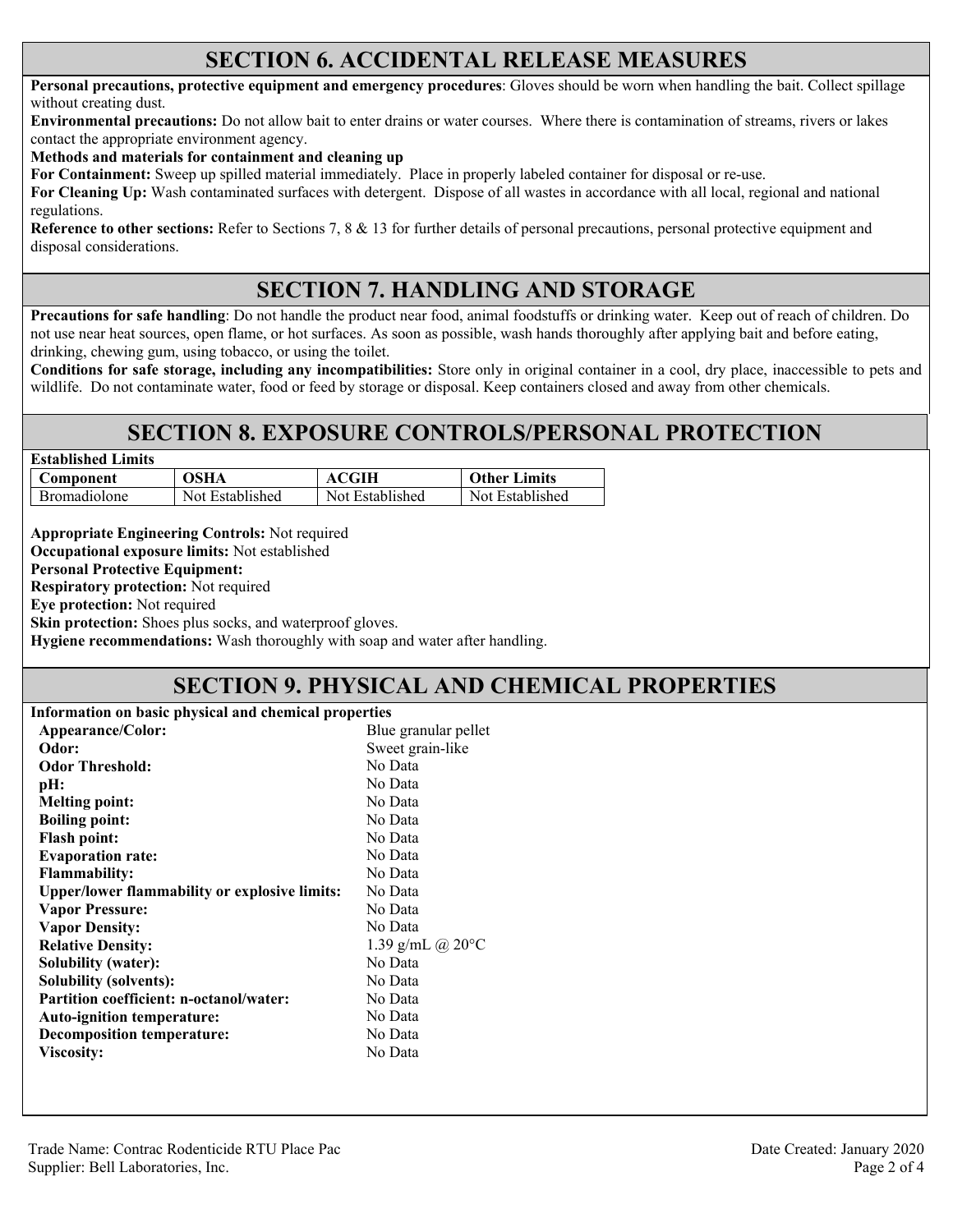#### **SECTION 6. ACCIDENTAL RELEASE MEASURES**

**Personal precautions, protective equipment and emergency procedures**: Gloves should be worn when handling the bait. Collect spillage without creating dust.

**Environmental precautions:** Do not allow bait to enter drains or water courses. Where there is contamination of streams, rivers or lakes contact the appropriate environment agency.

**Methods and materials for containment and cleaning up**

**For Containment:** Sweep up spilled material immediately. Place in properly labeled container for disposal or re-use.

**For Cleaning Up:** Wash contaminated surfaces with detergent. Dispose of all wastes in accordance with all local, regional and national regulations.

**Reference to other sections:** Refer to Sections 7, 8 & 13 for further details of personal precautions, personal protective equipment and disposal considerations.

### **SECTION 7. HANDLING AND STORAGE**

**Precautions for safe handling**: Do not handle the product near food, animal foodstuffs or drinking water. Keep out of reach of children. Do not use near heat sources, open flame, or hot surfaces. As soon as possible, wash hands thoroughly after applying bait and before eating, drinking, chewing gum, using tobacco, or using the toilet.

**Conditions for safe storage, including any incompatibilities:** Store only in original container in a cool, dry place, inaccessible to pets and wildlife. Do not contaminate water, food or feed by storage or disposal. Keep containers closed and away from other chemicals.

### **SECTION 8. EXPOSURE CONTROLS/PERSONAL PROTECTION**

| <b>Established Limits</b> |                 |                     |  |  |
|---------------------------|-----------------|---------------------|--|--|
| OSHA                      | <b>ACGIH</b>    | <b>Other Limits</b> |  |  |
| Not Established           | Not Established | Not Established     |  |  |
|                           |                 |                     |  |  |

**Appropriate Engineering Controls:** Not required **Occupational exposure limits:** Not established

**Personal Protective Equipment:** 

**Respiratory protection:** Not required

**Eye protection:** Not required

**Skin protection:** Shoes plus socks, and waterproof gloves.

**Hygiene recommendations:** Wash thoroughly with soap and water after handling.

#### **SECTION 9. PHYSICAL AND CHEMICAL PROPERTIES**

| Information on basic physical and chemical properties |                            |  |
|-------------------------------------------------------|----------------------------|--|
| Appearance/Color:<br>Blue granular pellet             |                            |  |
| Odor:                                                 | Sweet grain-like           |  |
| <b>Odor Threshold:</b><br>No Data                     |                            |  |
| pH:                                                   | No Data                    |  |
| <b>Melting point:</b>                                 | No Data                    |  |
| <b>Boiling point:</b>                                 | No Data                    |  |
| <b>Flash point:</b>                                   | No Data                    |  |
| <b>Evaporation rate:</b>                              | No Data                    |  |
| <b>Flammability:</b>                                  | No Data                    |  |
| <b>Upper/lower flammability or explosive limits:</b>  | No Data                    |  |
| <b>Vapor Pressure:</b>                                | No Data                    |  |
| <b>Vapor Density:</b>                                 | No Data                    |  |
| <b>Relative Density:</b>                              | 1.39 g/mL @ $20^{\circ}$ C |  |
| <b>Solubility (water):</b>                            | No Data                    |  |
| Solubility (solvents):                                | No Data                    |  |
| Partition coefficient: n-octanol/water:               | No Data                    |  |
| <b>Auto-ignition temperature:</b>                     | No Data                    |  |
| <b>Decomposition temperature:</b>                     | No Data                    |  |
| Viscosity:                                            | No Data                    |  |
|                                                       |                            |  |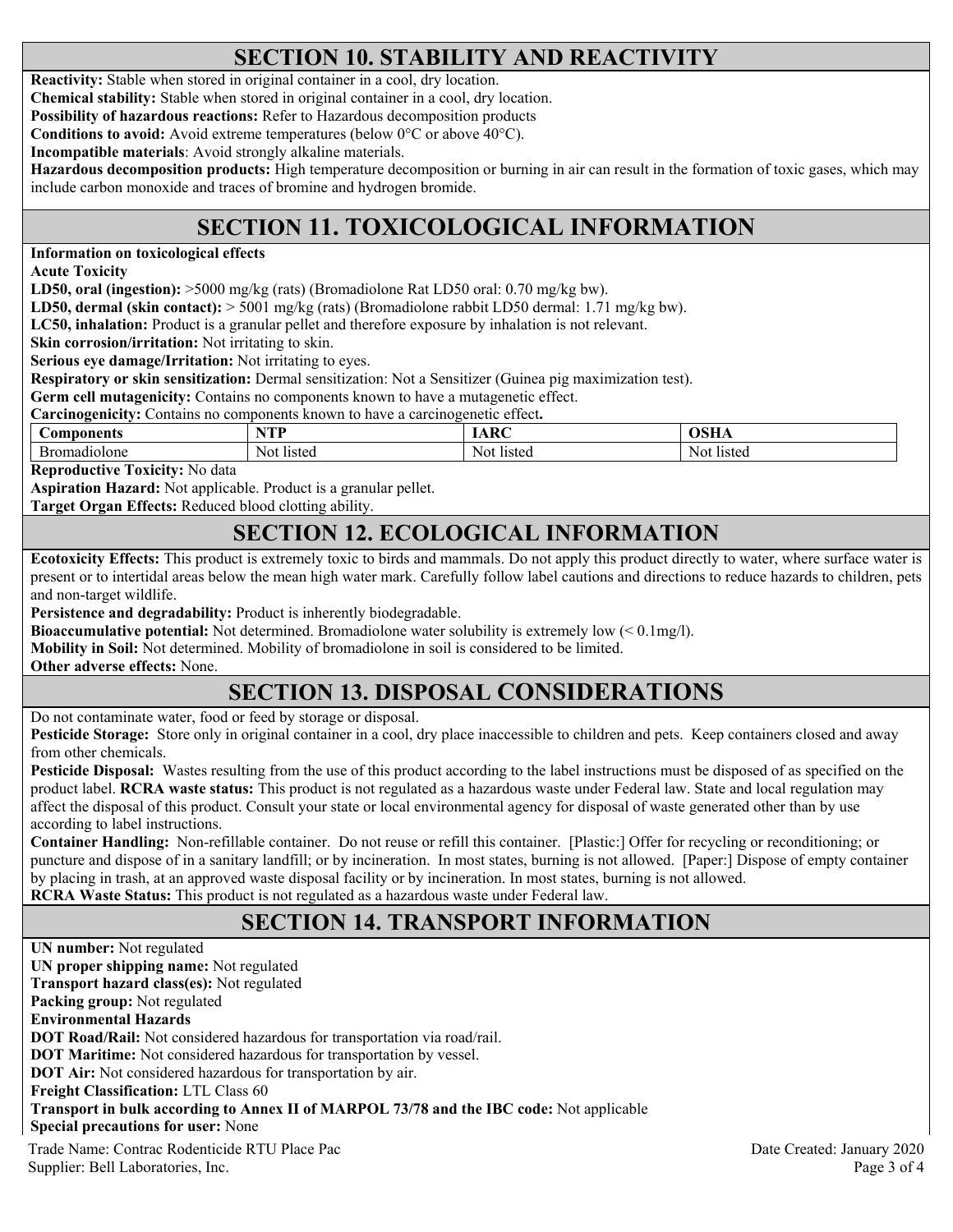# **SECTION 10. STABILITY AND REACTIVITY**

**Reactivity:** Stable when stored in original container in a cool, dry location.

**Chemical stability:** Stable when stored in original container in a cool, dry location.

**Possibility of hazardous reactions:** Refer to Hazardous decomposition products

**Conditions to avoid:** Avoid extreme temperatures (below 0°C or above 40°C).

**Incompatible materials**: Avoid strongly alkaline materials.

**Hazardous decomposition products:** High temperature decomposition or burning in air can result in the formation of toxic gases, which may include carbon monoxide and traces of bromine and hydrogen bromide.

# **SECTION 11. TOXICOLOGICAL INFORMATION**

**Information on toxicological effects** 

**Acute Toxicity** 

**LD50, oral (ingestion):** >5000 mg/kg (rats) (Bromadiolone Rat LD50 oral: 0.70 mg/kg bw).

**LD50, dermal (skin contact):** > 5001 mg/kg (rats) (Bromadiolone rabbit LD50 dermal: 1.71 mg/kg bw).

**LC50, inhalation:** Product is a granular pellet and therefore exposure by inhalation is not relevant.

**Skin corrosion/irritation:** Not irritating to skin.

**Serious eye damage/Irritation:** Not irritating to eyes.

**Respiratory or skin sensitization:** Dermal sensitization: Not a Sensitizer (Guinea pig maximization test).

**Germ cell mutagenicity:** Contains no components known to have a mutagenetic effect.

**Carcinogenicity:** Contains no components known to have a carcinogenetic effect**.** 

| <b>components</b> | <b>TOD T</b><br>-- | DC<br>ш | $\sim$ $\sim$ $\sim$ $\sim$ |
|-------------------|--------------------|---------|-----------------------------|
| Бr                | listec             | listed  | listed                      |
| nadiolone         | No!                | Noi     | NOI                         |

**Reproductive Toxicity:** No data

**Aspiration Hazard:** Not applicable. Product is a granular pellet.

**Target Organ Effects:** Reduced blood clotting ability.

### **SECTION 12. ECOLOGICAL INFORMATION**

**Ecotoxicity Effects:** This product is extremely toxic to birds and mammals. Do not apply this product directly to water, where surface water is present or to intertidal areas below the mean high water mark. Carefully follow label cautions and directions to reduce hazards to children, pets and non-target wildlife.

**Persistence and degradability:** Product is inherently biodegradable.

**Bioaccumulative potential:** Not determined. Bromadiolone water solubility is extremely low (< 0.1mg/l).

**Mobility in Soil:** Not determined. Mobility of bromadiolone in soil is considered to be limited.

**Other adverse effects:** None.

# **SECTION 13. DISPOSAL CONSIDERATIONS**

Do not contaminate water, food or feed by storage or disposal.

**Pesticide Storage:** Store only in original container in a cool, dry place inaccessible to children and pets. Keep containers closed and away from other chemicals.

**Pesticide Disposal:** Wastes resulting from the use of this product according to the label instructions must be disposed of as specified on the product label. **RCRA waste status:** This product is not regulated as a hazardous waste under Federal law. State and local regulation may affect the disposal of this product. Consult your state or local environmental agency for disposal of waste generated other than by use according to label instructions.

**Container Handling:** Non-refillable container. Do not reuse or refill this container. [Plastic:] Offer for recycling or reconditioning; or puncture and dispose of in a sanitary landfill; or by incineration. In most states, burning is not allowed. [Paper:] Dispose of empty container by placing in trash, at an approved waste disposal facility or by incineration. In most states, burning is not allowed. **RCRA Waste Status:** This product is not regulated as a hazardous waste under Federal law.

# **SECTION 14. TRANSPORT INFORMATION**

Trade Name: Contrac Rodenticide RTU Place Pac Date Created: January 2020 **UN number:** Not regulated **UN proper shipping name:** Not regulated **Transport hazard class(es):** Not regulated **Packing group:** Not regulated **Environmental Hazards DOT Road/Rail:** Not considered hazardous for transportation via road/rail. **DOT Maritime:** Not considered hazardous for transportation by vessel. **DOT Air:** Not considered hazardous for transportation by air. **Freight Classification:** LTL Class 60 **Transport in bulk according to Annex II of MARPOL 73/78 and the IBC code:** Not applicable **Special precautions for user:** None

Supplier: Bell Laboratories, Inc. 2008 and 2008 and 2008 and 2008 and 2008 and 2008 and 2008 and 2008 and 2008 and 2008 and 2008 and 2008 and 2008 and 2008 and 2008 and 2008 and 2008 and 2008 and 2008 and 2008 and 2008 and